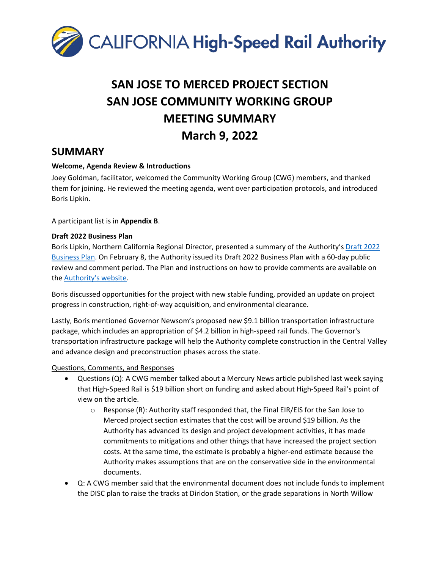

# **SAN JOSE TO MERCED PROJECT SECTION SAN JOSE COMMUNITY WORKING GROUP MEETING SUMMARY March 9, 2022**

### **SUMMARY**

#### **Welcome, Agenda Review & Introductions**

Joey Goldman, facilitator, welcomed the Community Working Group (CWG) members, and thanked them for joining. He reviewed the meeting agenda, went over participation protocols, and introduced Boris Lipkin.

A participant list is in **Appendix B**.

#### **Draft 2022 Business Plan**

Boris Lipkin, Northern California Regional Director, presented a summary of the Authority's [Draft 2022](https://hsr.ca.gov/about/high-speed-rail-business-plans/2022-business-plan/)  [Business Plan.](https://hsr.ca.gov/about/high-speed-rail-business-plans/2022-business-plan/) On February 8, the Authority issued its Draft 2022 Business Plan with a 60-day public review and comment period. The Plan and instructions on how to provide comments are available on the [Authority's website.](https://hsr.ca.gov/about/high-speed-rail-business-plans/draft-2022-business-plan-comment-form/)

Boris discussed opportunities for the project with new stable funding, provided an update on project progress in construction, right-of-way acquisition, and environmental clearance.

Lastly, Boris mentioned Governor Newsom's proposed new \$9.1 billion transportation infrastructure package, which includes an appropriation of \$4.2 billion in high-speed rail funds. The Governor's transportation infrastructure package will help the Authority complete construction in the Central Valley and advance design and preconstruction phases across the state.

#### Questions, Comments, and Responses

- Questions (Q): A CWG member talked about a Mercury News article published last week saying that High-Speed Rail is \$19 billion short on funding and asked about High-Speed Rail's point of view on the article.
	- $\circ$  Response (R): Authority staff responded that, the Final EIR/EIS for the San Jose to Merced project section estimates that the cost will be around \$19 billion. As the Authority has advanced its design and project development activities, it has made commitments to mitigations and other things that have increased the project section costs. At the same time, the estimate is probably a higher-end estimate because the Authority makes assumptions that are on the conservative side in the environmental documents.
- Q: A CWG member said that the environmental document does not include funds to implement the DISC plan to raise the tracks at Diridon Station, or the grade separations in North Willow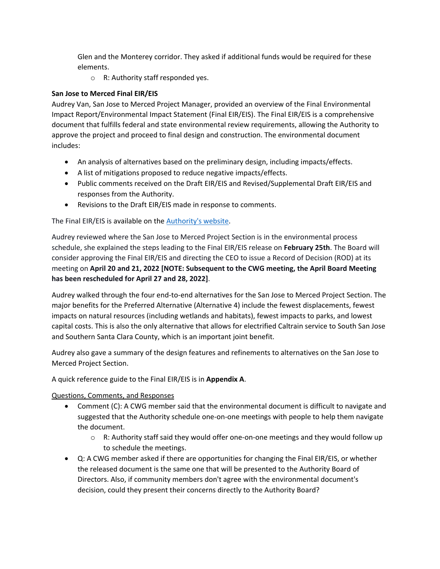Glen and the Monterey corridor. They asked if additional funds would be required for these elements.

o R: Authority staff responded yes.

#### **San Jose to Merced Final EIR/EIS**

Audrey Van, San Jose to Merced Project Manager, provided an overview of the Final Environmental Impact Report/Environmental Impact Statement (Final EIR/EIS). The Final EIR/EIS is a comprehensive document that fulfills federal and state environmental review requirements, allowing the Authority to approve the project and proceed to final design and construction. The environmental document includes:

- An analysis of alternatives based on the preliminary design, including impacts/effects.
- A list of mitigations proposed to reduce negative impacts/effects.
- Public comments received on the Draft EIR/EIS and Revised/Supplemental Draft EIR/EIS and responses from the Authority.
- Revisions to the Draft EIR/EIS made in response to comments.

The Final EIR/EIS is available on th[e Authority's website.](https://hsr.ca.gov/programs/environmental-planning/project-section-environmental-documents-tier-2/san-jose-to-merced-project-section-final-environmental-impact-report-environmental-impact-statement/)

Audrey reviewed where the San Jose to Merced Project Section is in the environmental process schedule, she explained the steps leading to the Final EIR/EIS release on **February 25th**. The Board will consider approving the Final EIR/EIS and directing the CEO to issue a Record of Decision (ROD) at its meeting on **April 20 and 21, 2022 [NOTE: Subsequent to the CWG meeting, the April Board Meeting has been rescheduled for April 27 and 28, 2022]**.

Audrey walked through the four end-to-end alternatives for the San Jose to Merced Project Section. The major benefits for the Preferred Alternative (Alternative 4) include the fewest displacements, fewest impacts on natural resources (including wetlands and habitats), fewest impacts to parks, and lowest capital costs. This is also the only alternative that allows for electrified Caltrain service to South San Jose and Southern Santa Clara County, which is an important joint benefit.

Audrey also gave a summary of the design features and refinements to alternatives on the San Jose to Merced Project Section.

A quick reference guide to the Final EIR/EIS is in **Appendix A**.

Questions, Comments, and Responses

- Comment (C): A CWG member said that the environmental document is difficult to navigate and suggested that the Authority schedule one-on-one meetings with people to help them navigate the document.
	- $\circ$  R: Authority staff said they would offer one-on-one meetings and they would follow up to schedule the meetings.
- Q: A CWG member asked if there are opportunities for changing the Final EIR/EIS, or whether the released document is the same one that will be presented to the Authority Board of Directors. Also, if community members don't agree with the environmental document's decision, could they present their concerns directly to the Authority Board?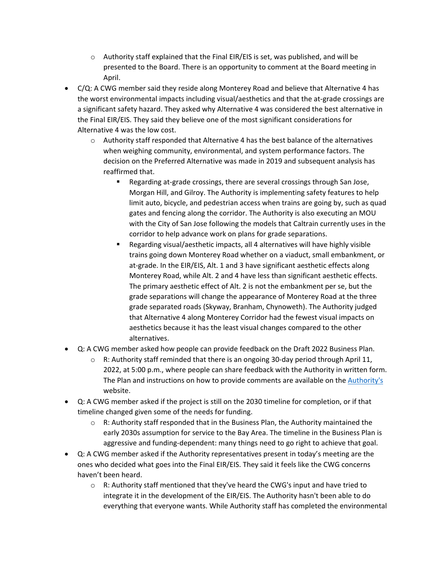- $\circ$  Authority staff explained that the Final EIR/EIS is set, was published, and will be presented to the Board. There is an opportunity to comment at the Board meeting in April.
- C/Q: A CWG member said they reside along Monterey Road and believe that Alternative 4 has the worst environmental impacts including visual/aesthetics and that the at-grade crossings are a significant safety hazard. They asked why Alternative 4 was considered the best alternative in the Final EIR/EIS. They said they believe one of the most significant considerations for Alternative 4 was the low cost.
	- $\circ$  Authority staff responded that Alternative 4 has the best balance of the alternatives when weighing community, environmental, and system performance factors. The decision on the Preferred Alternative was made in 2019 and subsequent analysis has reaffirmed that.
		- Regarding at-grade crossings, there are several crossings through San Jose, Morgan Hill, and Gilroy. The Authority is implementing safety features to help limit auto, bicycle, and pedestrian access when trains are going by, such as quad gates and fencing along the corridor. The Authority is also executing an MOU with the City of San Jose following the models that Caltrain currently uses in the corridor to help advance work on plans for grade separations.
		- Regarding visual/aesthetic impacts, all 4 alternatives will have highly visible trains going down Monterey Road whether on a viaduct, small embankment, or at-grade. In the EIR/EIS, Alt. 1 and 3 have significant aesthetic effects along Monterey Road, while Alt. 2 and 4 have less than significant aesthetic effects. The primary aesthetic effect of Alt. 2 is not the embankment per se, but the grade separations will change the appearance of Monterey Road at the three grade separated roads (Skyway, Branham, Chynoweth). The Authority judged that Alternative 4 along Monterey Corridor had the fewest visual impacts on aesthetics because it has the least visual changes compared to the other alternatives.
- Q: A CWG member asked how people can provide feedback on the Draft 2022 Business Plan.
	- $\circ$  R: Authority staff reminded that there is an ongoing 30-day period through April 11, 2022, at 5:00 p.m., where people can share feedback with the Authority in written form. The Plan and instructions on how to provide comments are available on the [Authority's](https://hsr.ca.gov/about/high-speed-rail-business-plans/2022-business-plan/) website.
- Q: A CWG member asked if the project is still on the 2030 timeline for completion, or if that timeline changed given some of the needs for funding.
	- $\circ$  R: Authority staff responded that in the Business Plan, the Authority maintained the early 2030s assumption for service to the Bay Area. The timeline in the Business Plan is aggressive and funding-dependent: many things need to go right to achieve that goal.
- Q: A CWG member asked if the Authority representatives present in today's meeting are the ones who decided what goes into the Final EIR/EIS. They said it feels like the CWG concerns haven't been heard.
	- $\circ$  R: Authority staff mentioned that they've heard the CWG's input and have tried to integrate it in the development of the EIR/EIS. The Authority hasn't been able to do everything that everyone wants. While Authority staff has completed the environmental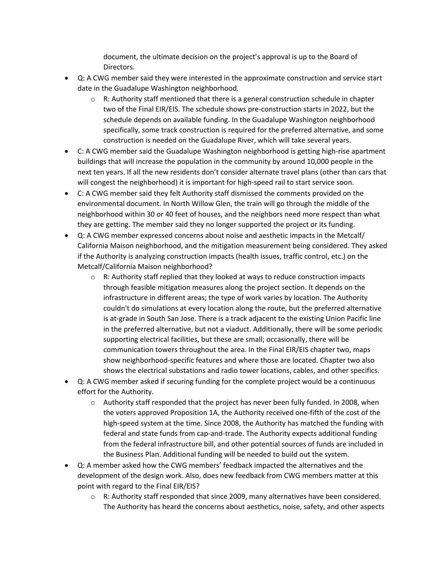document, the ultimate decision on the project's approval is up to the Board of Directors.

- Q: A CWG member said they were interested in the approximate construction and service start date in the Guadalupe Washington neighborhood.
	- $\circ$  R: Authority staff mentioned that there is a general construction schedule in chapter two of the Final EIR/EIS. The schedule shows pre-construction starts in 2022, but the schedule depends on available funding. In the Guadalupe Washington neighborhood specifically, some track construction is required for the preferred alternative, and some construction is needed on the Guadalupe River, which will take several years.
- C: A CWG member said the Guadalupe Washington neighborhood is getting high-rise apartment buildings that will increase the population in the community by around 10,000 people in the next ten years. If all the new residents don't consider alternate travel plans (other than cars that will congest the neighborhood) it is important for high-speed rail to start service soon.
- C: A CWG member said they felt Authority staff dismissed the comments provided on the environmental document. In North Willow Glen, the train will go through the middle of the neighborhood within 30 or 40 feet of houses, and the neighbors need more respect than what they are getting. The member said they no longer supported the project or its funding.
- Q: A CWG member expressed concerns about noise and aesthetic impacts in the Metcalf/ California Maison neighborhood, and the mitigation measurement being considered. They asked if the Authority is analyzing construction impacts (health issues, traffic control, etc.) on the Metcalf/California Maison neighborhood?
	- $\circ$  R: Authority staff replied that they looked at ways to reduce construction impacts through feasible mitigation measures along the project section. It depends on the infrastructure in different areas; the type of work varies by location. The Authority couldn't do simulations at every location along the route, but the preferred alternative is at-grade in South San Jose. There is a track adjacent to the existing Union Pacific line in the preferred alternative, but not a viaduct. Additionally, there will be some periodic supporting electrical facilities, but these are small; occasionally, there will be communication towers throughout the area. In the Final EIR/EIS chapter two, maps show neighborhood-specific features and where those are located. Chapter two also shows the electrical substations and radio tower locations, cables, and other specifics.
- Q: A CWG member asked if securing funding for the complete project would be a continuous effort for the Authority.
	- $\circ$  Authority staff responded that the project has never been fully funded. In 2008, when the voters approved Proposition 1A, the Authority received one-fifth of the cost of the high-speed system at the time. Since 2008, the Authority has matched the funding with federal and state funds from cap-and-trade. The Authority expects additional funding from the federal infrastructure bill, and other potential sources of funds are included in the Business Plan. Additional funding will be needed to build out the system.
- Q: A member asked how the CWG members' feedback impacted the alternatives and the development of the design work. Also, does new feedback from CWG members matter at this point with regard to the Final EIR/EIS?
	- $\circ$  R: Authority staff responded that since 2009, many alternatives have been considered. The Authority has heard the concerns about aesthetics, noise, safety, and other aspects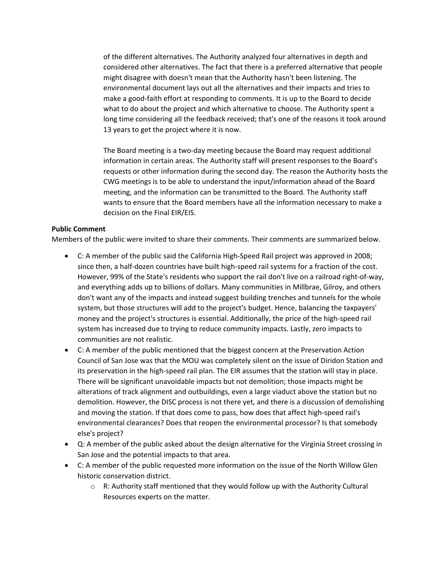of the different alternatives. The Authority analyzed four alternatives in depth and considered other alternatives. The fact that there is a preferred alternative that people might disagree with doesn't mean that the Authority hasn't been listening. The environmental document lays out all the alternatives and their impacts and tries to make a good-faith effort at responding to comments. It is up to the Board to decide what to do about the project and which alternative to choose. The Authority spent a long time considering all the feedback received; that's one of the reasons it took around 13 years to get the project where it is now.

The Board meeting is a two-day meeting because the Board may request additional information in certain areas. The Authority staff will present responses to the Board's requests or other information during the second day. The reason the Authority hosts the CWG meetings is to be able to understand the input/information ahead of the Board meeting, and the information can be transmitted to the Board. The Authority staff wants to ensure that the Board members have all the information necessary to make a decision on the Final EIR/EIS.

#### **Public Comment**

Members of the public were invited to share their comments. Their comments are summarized below.

- C: A member of the public said the California High-Speed Rail project was approved in 2008; since then, a half-dozen countries have built high-speed rail systems for a fraction of the cost. However, 99% of the State's residents who support the rail don't live on a railroad right-of-way, and everything adds up to billions of dollars. Many communities in Millbrae, Gilroy, and others don't want any of the impacts and instead suggest building trenches and tunnels for the whole system, but those structures will add to the project's budget. Hence, balancing the taxpayers' money and the project's structures is essential. Additionally, the price of the high-speed rail system has increased due to trying to reduce community impacts. Lastly, zero impacts to communities are not realistic.
- C: A member of the public mentioned that the biggest concern at the Preservation Action Council of San Jose was that the MOU was completely silent on the issue of Diridon Station and its preservation in the high-speed rail plan. The EIR assumes that the station will stay in place. There will be significant unavoidable impacts but not demolition; those impacts might be alterations of track alignment and outbuildings, even a large viaduct above the station but no demolition. However, the DISC process is not there yet, and there is a discussion of demolishing and moving the station. If that does come to pass, how does that affect high-speed rail's environmental clearances? Does that reopen the environmental processor? Is that somebody else's project?
- Q: A member of the public asked about the design alternative for the Virginia Street crossing in San Jose and the potential impacts to that area.
- C: A member of the public requested more information on the issue of the North Willow Glen historic conservation district.
	- $\circ$  R: Authority staff mentioned that they would follow up with the Authority Cultural Resources experts on the matter.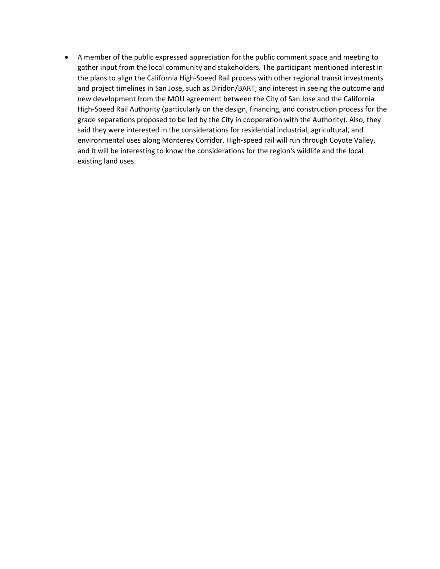• A member of the public expressed appreciation for the public comment space and meeting to gather input from the local community and stakeholders. The participant mentioned interest in the plans to align the California High-Speed Rail process with other regional transit investments and project timelines in San Jose, such as Diridon/BART; and interest in seeing the outcome and new development from the MOU agreement between the City of San Jose and the California High-Speed Rail Authority (particularly on the design, financing, and construction process for the grade separations proposed to be led by the City in cooperation with the Authority). Also, they said they were interested in the considerations for residential industrial, agricultural, and environmental uses along Monterey Corridor. High-speed rail will run through Coyote Valley, and it will be interesting to know the considerations for the region's wildlife and the local existing land uses.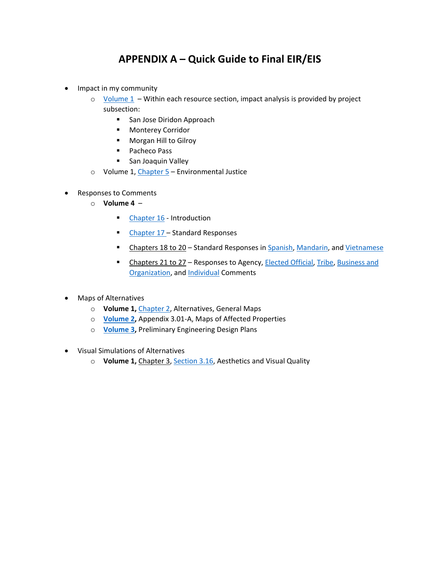## **APPENDIX A – Quick Guide to Final EIR/EIS**

- Impact in my community
	- o [Volume 1](https://hsr.ca.gov/wp-content/uploads/2022/02/Final_EIRS_JM_V1-05_Table_of_Contents_Volume_1.pdf)  Within each resource section, impact analysis is provided by project subsection:
		- San Jose Diridon Approach
		- **Monterey Corridor**
		- **Morgan Hill to Gilroy**
		- **Pacheco Pass**
		- **San Joaquin Valley**
	- o Volume 1, [Chapter 5](https://hsr.ca.gov/wp-content/uploads/2022/02/Final_EIRS_JM_V1-29_CH_5_Environmental_Justice.pdf)  Environmental Justice
- Responses to Comments
	- o **Volume 4** 
		- **[Chapter 16 -](https://hsr.ca.gov/wp-content/uploads/2022/02/Final_EIRS_JM_V4-01_CH_16_Introduction.pdf) Introduction**
		- **[Chapter 17 –](https://hsr.ca.gov/wp-content/uploads/2022/02/Final_EIRS_JM_V4-02_CH_17_Standard_Responses.pdf) Standard Responses**
		- **E** Chapters 18 to 20 Standard Responses in [Spanish,](https://hsr.ca.gov/wp-content/uploads/2022/02/Final_EIRS_JM_V4-03_CH_18_Standard_Responses_Spanish.pdf) [Mandarin,](https://hsr.ca.gov/wp-content/uploads/2022/02/Final_EIRS_JM_V4-04_CH_19_Standard_Responses_Mandarin.pdf) and [Vietnamese](https://hsr.ca.gov/wp-content/uploads/2022/02/Final_EIRS_JM_V4-05_CH_20_Standard_Responses_Vietnamese.pdf)
		- **EXECHBER** Chapters 21 to 27 Responses to Agency, [Elected Official,](https://hsr.ca.gov/wp-content/uploads/2022/02/Final_EIRS_JM_V4-08_CH_23_Elected_Official_Comments.pdf) [Tribe,](https://hsr.ca.gov/wp-content/uploads/2022/02/Final_EIRS_JM_V4-10_CH_25_Tribe_Comments.pdf) Business and [Organization,](https://hsr.ca.gov/wp-content/uploads/2022/02/Final_EIRS_JM_V4-11_CH_26_Business_and_Organization_Comments.pdf) and [Individual](https://hsr.ca.gov/wp-content/uploads/2022/02/Final_EIRS_JM_V4-12_CH_27_Individual_Comments.pdf) Comments
- Maps of Alternatives
	- o **Volume 1,** [Chapter 2,](https://hsr.ca.gov/wp-content/uploads/2022/02/Final_EIRS_JM_V1-08_CH_2_Alternatives.pdf) Alternatives, General Maps
	- o **[Volume 2,](https://hsr.ca.gov/wp-content/uploads/2022/02/Final_EIRS_JM_V2-02_TOC_Volume_2.pdf)** Appendix 3.01-A, Maps of Affected Properties
	- o **[Volume 3,](https://hsr.ca.gov/wp-content/uploads/2022/02/Final_EIRS_JM_V3-02_General_Information_Volume_3.pdf)** Preliminary Engineering Design Plans
- Visual Simulations of Alternatives
	- o **Volume 1,** Chapter 3, [Section 3.16,](https://hsr.ca.gov/wp-content/uploads/2022/02/Final_EIRS_JM_V1-24_CH_3.16_Aesthetics_Visual_Quality.pdf) Aesthetics and Visual Quality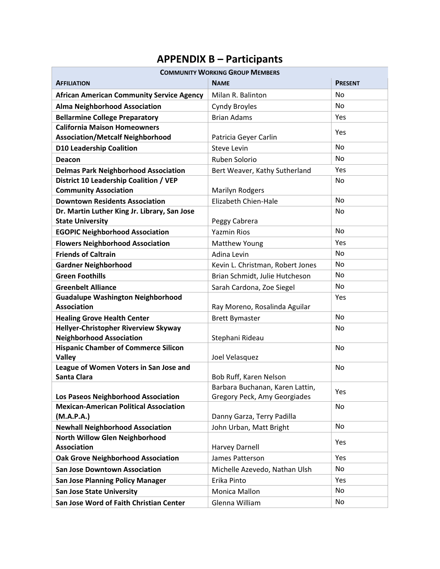## **APPENDIX B – Participants**

| <b>COMMUNITY WORKING GROUP MEMBERS</b>                       |                                  |                |  |
|--------------------------------------------------------------|----------------------------------|----------------|--|
| <b>AFFILIATION</b>                                           | <b>NAME</b>                      | <b>PRESENT</b> |  |
| <b>African American Community Service Agency</b>             | Milan R. Balinton                | No             |  |
| <b>Alma Neighborhood Association</b>                         | <b>Cyndy Broyles</b>             | <b>No</b>      |  |
| <b>Bellarmine College Preparatory</b>                        | <b>Brian Adams</b>               | Yes            |  |
| <b>California Maison Homeowners</b>                          |                                  | Yes            |  |
| <b>Association/Metcalf Neighborhood</b>                      | Patricia Geyer Carlin            |                |  |
| <b>D10 Leadership Coalition</b>                              | <b>Steve Levin</b>               | <b>No</b>      |  |
| Deacon                                                       | Ruben Solorio                    | <b>No</b>      |  |
| <b>Delmas Park Neighborhood Association</b>                  | Bert Weaver, Kathy Sutherland    | Yes            |  |
| District 10 Leadership Coalition / VEP                       |                                  | No             |  |
| <b>Community Association</b>                                 | <b>Marilyn Rodgers</b>           |                |  |
| <b>Downtown Residents Association</b>                        | Elizabeth Chien-Hale             | <b>No</b>      |  |
| Dr. Martin Luther King Jr. Library, San Jose                 |                                  | No             |  |
| <b>State University</b>                                      | Peggy Cabrera                    |                |  |
| <b>EGOPIC Neighborhood Association</b>                       | <b>Yazmin Rios</b>               | No             |  |
| <b>Flowers Neighborhood Association</b>                      | Matthew Young                    | Yes            |  |
| <b>Friends of Caltrain</b>                                   | Adina Levin                      | No             |  |
| <b>Gardner Neighborhood</b>                                  | Kevin L. Christman, Robert Jones | No             |  |
| <b>Green Foothills</b>                                       | Brian Schmidt, Julie Hutcheson   | No             |  |
| <b>Greenbelt Alliance</b>                                    | Sarah Cardona, Zoe Siegel        | No             |  |
| <b>Guadalupe Washington Neighborhood</b>                     |                                  | Yes            |  |
| <b>Association</b>                                           | Ray Moreno, Rosalinda Aguilar    |                |  |
| <b>Healing Grove Health Center</b>                           | <b>Brett Bymaster</b>            | <b>No</b>      |  |
| Hellyer-Christopher Riverview Skyway                         |                                  | No             |  |
| <b>Neighborhood Association</b>                              | Stephani Rideau                  |                |  |
| <b>Hispanic Chamber of Commerce Silicon</b><br><b>Valley</b> | Joel Velasquez                   | No             |  |
| League of Women Voters in San Jose and                       |                                  | <b>No</b>      |  |
| <b>Santa Clara</b>                                           | Bob Ruff, Karen Nelson           |                |  |
|                                                              | Barbara Buchanan, Karen Lattin,  |                |  |
| Los Paseos Neighborhood Association                          | Gregory Peck, Amy Georgiades     | Yes            |  |
| <b>Mexican-American Political Association</b>                |                                  | No             |  |
| (M.A.P.A.)                                                   | Danny Garza, Terry Padilla       |                |  |
| <b>Newhall Neighborhood Association</b>                      | John Urban, Matt Bright          | <b>No</b>      |  |
| North Willow Glen Neighborhood                               |                                  | Yes            |  |
| <b>Association</b>                                           | <b>Harvey Darnell</b>            |                |  |
| <b>Oak Grove Neighborhood Association</b>                    | James Patterson                  | Yes            |  |
| <b>San Jose Downtown Association</b>                         | Michelle Azevedo, Nathan Ulsh    | <b>No</b>      |  |
| <b>San Jose Planning Policy Manager</b>                      | Erika Pinto                      | Yes            |  |
| <b>San Jose State University</b>                             | Monica Mallon                    | No             |  |
| San Jose Word of Faith Christian Center                      | Glenna William                   | No             |  |